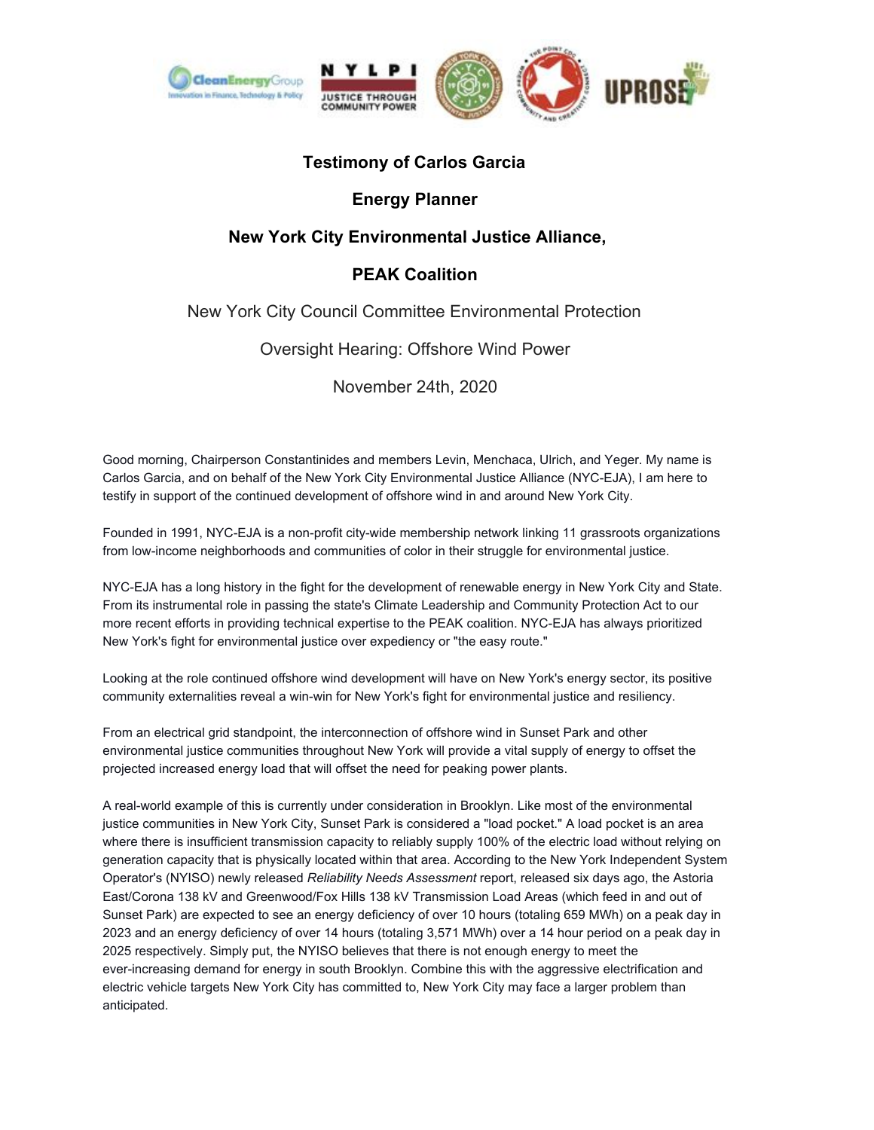

# **Testimony of Carlos Garcia**

## **Energy Planner**

## **New York City Environmental Justice Alliance,**

## **PEAK Coalition**

### New York City Council Committee Environmental Protection

**Oversight Hearing: Offshore Wind Power** 

November 24th, 2020

Good morning, Chairperson Constantinides and members Levin, Menchaca, Ulrich, and Yeger. My name is Carlos Garcia, and on behalf of the New York City Environmental Justice Alliance (NYC-EJA), I am here to testify in support of the continued development of offshore wind in and around New York City.

Founded in 1991, NYC-EJA is a non-profit city-wide membership network linking 11 grassroots organizations from low-income neighborhoods and communities of color in their struggle for environmental justice.

NYC-EJA has a long history in the fight for the development of renewable energy in New York City and State. From its instrumental role in passing the state's Climate Leadership and Community Protection Act to our more recent efforts in providing technical expertise to the PEAK coalition. NYC-EJA has always prioritized New York's fight for environmental justice over expediency or "the easy route."

Looking at the role continued offshore wind development will have on New York's energy sector, its positive community externalities reveal a win-win for New York's fight for environmental justice and resiliency.

From an electrical grid standpoint, the interconnection of offshore wind in Sunset Park and other environmental justice communities throughout New York will provide a vital supply of energy to offset the projected increased energy load that will offset the need for peaking power plants.

A real-world example of this is currently under consideration in Brooklyn. Like most of the environmental justice communities in New York City, Sunset Park is considered a "load pocket." A load pocket is an area where there is insufficient transmission capacity to reliably supply 100% of the electric load without relying on generation capacity that is physically located within that area. According to the New York Independent System Operator's (NYISO) newly released Reliability Needs Assessment report, released six days ago, the Astoria East/Corona 138 kV and Greenwood/Fox Hills 138 kV Transmission Load Areas (which feed in and out of Sunset Park) are expected to see an energy deficiency of over 10 hours (totaling 659 MWh) on a peak day in 2023 and an energy deficiency of over 14 hours (totaling 3,571 MWh) over a 14 hour period on a peak day in 2025 respectively. Simply put, the NYISO believes that there is not enough energy to meet the ever-increasing demand for energy in south Brooklyn. Combine this with the aggressive electrification and electric vehicle targets New York City has committed to, New York City may face a larger problem than anticipated.